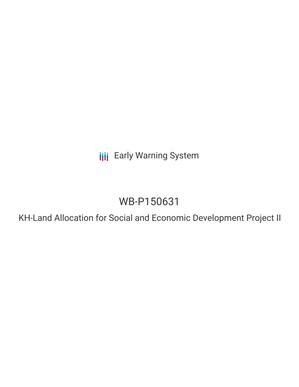**III** Early Warning System

# WB-P150631

KH-Land Allocation for Social and Economic Development Project II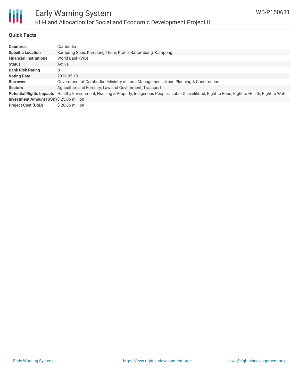

#### **Quick Facts**

| <b>Countries</b>                         | Cambodia                                                                                                                                                 |
|------------------------------------------|----------------------------------------------------------------------------------------------------------------------------------------------------------|
| <b>Specific Location</b>                 | Kampong Speu, Kampong Thom, Kratie, Battambang, Kampong                                                                                                  |
| <b>Financial Institutions</b>            | World Bank (WB)                                                                                                                                          |
| <b>Status</b>                            | Active                                                                                                                                                   |
| <b>Bank Risk Rating</b>                  | B                                                                                                                                                        |
| <b>Voting Date</b>                       | 2016-05-19                                                                                                                                               |
| <b>Borrower</b>                          | Government of Cambodia - Ministry of Land Management, Urban Planning & Construction                                                                      |
| <b>Sectors</b>                           | Agriculture and Forestry, Law and Government, Transport                                                                                                  |
|                                          | Potential Rights Impacts Healthy Environment, Housing & Property, Indigenous Peoples, Labor & Livelihood, Right to Food, Right to Health, Right to Water |
| Investment Amount (USD) \$ 25.06 million |                                                                                                                                                          |
| <b>Project Cost (USD)</b>                | $$26.86$ million                                                                                                                                         |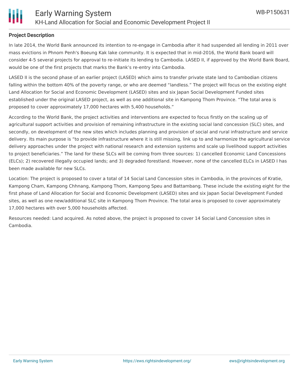

#### **Project Description**

In late 2014, the World Bank announced its intention to re-engage in Cambodia after it had suspended all lending in 2011 over mass evictions in Phnom Penh's Boeung Kak lake community. It is expected that in mid-2016, the World Bank board will consider 4-5 several projects for approval to re-initiate its lending to Cambodia. LASED II, if approved by the World Bank Board, would be one of the first projects that marks the Bank's re-entry into Cambodia.

LASED II is the second phase of an earlier project (LASED) which aims to transfer private state land to Cambodian citizens falling within the bottom 40% of the poverty range, or who are deemed "landless." The project will focus on the existing eight Land Allocation for Social and Economic Development (LASED) sites and six Japan Social Development Funded sites established under the original LASED project, as well as one additional site in Kampong Thom Province. "The total area is proposed to cover approximately 17,000 hectares with 5,400 households."

According to the World Bank, the project activities and interventions are expected to focus firstly on the scaling up of agricultural support activities and provision of remaining infrastructure in the existing social land concession (SLC) sites, and secondly, on development of the new sites which includes planning and provision of social and rural infrastructure and service delivery. Its main purpose is "to provide infrastructure where it is still missing, link up to and harmonize the agricultural service delivery approaches under the project with national research and extension systems and scale up livelihood support activities to project beneficiaries." The land for these SLCs will be coming from three sources: 1) cancelled Economic Land Concessions (ELCs); 2) recovered illegally occupied lands; and 3) degraded forestland. However, none of the cancelled ELCs in LASED I has been made available for new SLCs.

Location: The project is proposed to cover a total of 14 Social Land Concession sites in Cambodia, in the provinces of Kratie, Kampong Cham, Kampong Chhnang, Kampong Thom, Kampong Speu and Battambang. These include the existing eight for the first phase of Land Allocation for Social and Economic Development (LASED) sites and six Japan Social Development Funded sites, as well as one new/additional SLC site in Kampong Thom Province. The total area is proposed to cover approximately 17,000 hectares with over 5,000 households affected.

Resources needed: Land acquired. As noted above, the project is proposed to cover 14 Social Land Concession sites in Cambodia.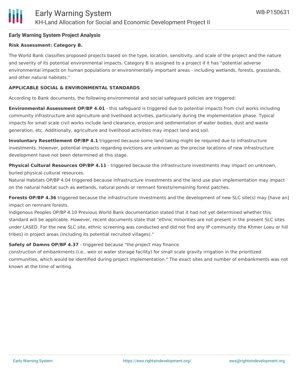#### **Early Warning System Project Analysis**

#### **Risk Assessment: Category B.**

The World Bank classifies proposed projects based on the type, location, sensitivity, and scale of the project and the nature and severity of its potential environmental impacts. Category B is assigned to a project if it has "potential adverse environmental impacts on human populations or environmentally important areas - including wetlands, forests, grasslands, and other natural habitats."

#### **APPLICABLE SOCIAL & ENVIRONMENTAL STANDARDS**

According to Bank documents, the following environmental and social safeguard policies are triggered:

**Environmental Assessment OP/BP 4.01** - this safeguard is triggered due to potential impacts from civil works including community infrastructure and agriculture and livelihood activities, particularly during the implementation phase. Typical impacts for small scale civil works include land clearance, erosion and sedimentation of water bodies, dust and waste generation, etc. Additionally, agriculture and livelihood activities may impact land and soil.

**Involuntary Resettlement OP/BP 4.1** triggered because some land taking might be required due to infrastructure investments. However, potential impacts regarding evictions are unknown as the precise locations of new infrastructure development have not been determined at this stage.

**Physical Cultural Resources OP/BP 4.11** - triggered because the infrastructure investments may impact on unknown, buried physical cultural resources.

Natural Habitats OP/BP 4.04 triggered because infrastructure investments and the land use plan implementation may impact on the natural habitat such as wetlands, natural ponds or remnant forests/remaining forest patches.

**Forests OP/BP 4.36** triggered because the infrastructure investments and the development of new SLC site(s) may [have an] impact on remnant forests.

Indigenous Peoples OP/BP 4.10 Previous World Bank documentation stated that it had not yet determined whether this standard will be applicable. However, recent documents state that "ethnic minorities are not present in the present SLC sites under LASED. For the new SLC site, ethnic screening was conducted and did not find any IP community (the Khmer Loeu or hill tribes) in project areas (including its potential recruited villages)."

#### **Safety of Damns OP/BP 4.37** - triggered because "the project may finance

construction of embankments (i.e., weir or water storage facility) for small scale gravity irrigation in the prioritized communities, which would be identified during project implementation." The exact sites and number of embankments was not known at the time of writing.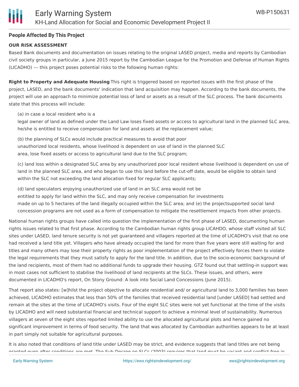

#### **People Affected By This Project**

#### **OUR RISK ASSESSMENT**

Based Bank documents and documentation on issues relating to the original LASED project, media and reports by Cambodian civil society groups in particular, a June 2015 report by the Cambodian League for the Promotion and Defense of Human Rights (LICADHO) --- this project poses potential risks to the following human rights:

**Right to Property and Adequate Housing** This right is triggered based on reported issues with the first phase of the project, LASED, and the bank documents' indication that land acquisition may happen. According to the bank documents, the project will use an approach to minimize potential loss of land or assets as a result of the SLC process. The bank documents state that this process will include:

(a) in case a local resident who is a

legal owner of land as defined under the Land Law loses fixed assets or access to agricultural land in the planned SLC area, he/she is entitled to receive compensation for land and assets at the replacement value;

(b) the planning of SLCs would include practical measures to avoid that poor unauthorized local residents, whose livelihood is dependent on use of land in the planned SLC area, lose fixed assets or access to agricultural land due to the SLC program;

(c) land loss within a designated SLC area by any unauthorized poor local resident whose livelihood is dependent on use of land in the planned SLC area, and who began to use this land before the cut-off date, would be eligible to obtain land within the SLC not exceeding the land allocation fixed for regular SLC applicants;

(d) land speculators enjoying unauthorized use of land in an SLC area would not be entitled to apply for land within the SLC, and may only receive compensation for investments made on up to 5 hectares of the land illegally occupied within the SLC area; and (e) the projectsupported social land concession programs are not used as a form of compensation to mitigate the resettlement impacts from other projects.

National human rights groups have called into question the implementation of the first phase of LASED, documenting human rights issues related to that first phase. According to the Cambodian human rights group LICAHDO, whose staff visited all SLC sites under LASED, land tenure security is not yet guaranteed and villagers reported at the time of LICADHO's visit that no one had received a land title yet. Villagers who have already occupied the land for more than five years were still waiting for and titles and many others may lose their property rights as poor implementation of the project effectively forces them to violate the legal requirements that they must satisfy to apply for the land title. In addition, due to the socio-economic background of the land recipients, most of them had no additional funds to upgrade their housing. GTZ found out that settling-in support was in most cases not sufficient to stabilise the livelihood of land recipients at the SLCs. These issues, and others, were documented in LICADHO's report, On Stony Ground: A look into Social Land Concessions (June 2015).

That report also states: [w]hilst the project objective to allocate residential and/ or agricultural land to 3,000 families has been achieved, LICADHO estimates that less than 50% of the families that received residential land [under LASED] had settled and remain at the sites at the time of LICADHO's visits. Four of the eight SLC sites were not yet functional at the time of the visits by LICADHO and will need substantial financial and technical support to achieve a minimal level of sustainability. Numerous villagers at seven of the eight sites reported limited ability to use the allocated agricultural plots and hence gained no significant improvement in terms of food security. The land that was allocated by Cambodian authorities appears to be at least in part simply not suitable for agricultural purposes.

It is also noted that conditions of land title under LASED may be strict, and evidence suggests that land titles are not being granted even after conditions are met. The Sub-Decree on SLCs (2003) requires that land must be vacant and conflict-free in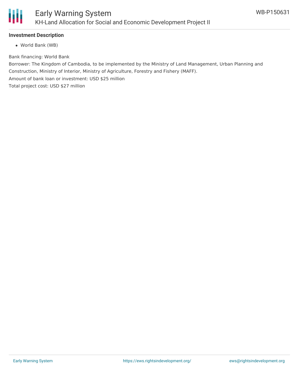

#### **Investment Description**

World Bank (WB)

Bank financing: World Bank

Borrower: The Kingdom of Cambodia, to be implemented by the Ministry of Land Management, Urban Planning and Construction, Ministry of Interior, Ministry of Agriculture, Forestry and Fishery (MAFF).

Amount of bank loan or investment: USD \$25 million

Total project cost: USD \$27 million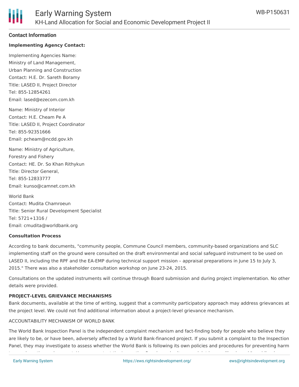

#### **Contact Information**

#### **Implementing Agency Contact:**

Implementing Agencies Name: Ministry of Land Management, Urban Planning and Construction Contact: H.E. Dr. Sareth Boramy Title: LASED II, Project Director Tel: 855-12854261 Email: lased@ezecom.com.kh

Name: Ministry of Interior Contact: H.E. Cheam Pe A Title: LASED II, Project Coordinator Tel: 855-92351666 Email: pcheam@ncdd.gov.kh

Name: Ministry of Agriculture, Forestry and Fishery Contact: HE. Dr. So Khan Rithykun Title: Director General, Tel: 855-12833777 Email: kunso@camnet.com.kh

World Bank Contact: Mudita Chamroeun Title: Senior Rural Development Specialist Tel: 5721+1316 / Email: cmudita@worldbank.org

#### **Consultation Process**

According to bank documents, "community people, Commune Council members, community-based organizations and SLC implementing staff on the ground were consulted on the draft environmental and social safeguard instrument to be used on LASED II, including the RPF and the EA-EMP during technical support mission – appraisal preparations in June 15 to July 3, 2015." There was also a stakeholder consultation workshop on June 23-24, 2015.

Consultations on the updated instruments will continue through Board submission and during project implementation. No other details were provided.

#### **PROJECT-LEVEL GRIEVANCE MECHANISMS**

Bank documents, available at the time of writing, suggest that a community participatory approach may address grievances at the project level. We could not find additional information about a project-level grievance mechanism.

#### ACCOUNTABILITY MECHANISM OF WORLD BANK

The World Bank Inspection Panel is the independent complaint mechanism and fact-finding body for people who believe they are likely to be, or have been, adversely affected by a World Bank-financed project. If you submit a complaint to the Inspection Panel, they may investigate to assess whether the World Bank is following its own policies and procedures for preventing harm to people or the environment. You can contact the Inspection Panel or submit a complaint by emailing ipanel@worldbank.org.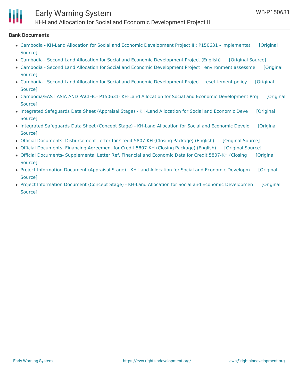

## Early Warning System

KH-Land Allocation for Social and Economic Development Project II

#### **Bank Documents**

- Cambodia KH-Land Allocation for Social and Economic [Development](https://ewsdata.rightsindevelopment.org/files/documents/31/WB-P150631.pdf) Project II : P150631 Implementat [Original Source]
- Cambodia Second Land Allocation for Social and Economic [Development](https://ewsdata.rightsindevelopment.org/files/documents/31/WB-P150631_xPVtC3q.pdf) Project (English) [\[Original](http://documents.worldbank.org/curated/en/2016/05/26337052/cambodia-second-land-allocation-social-economic-development-project) Source]
- Cambodia Second Land Allocation for Social and Economic [Development](http://documents.worldbank.org/curated/en/2016/01/25783868/cambodia-second-land-allocation-social-economic-development-project-environment-assessment-environment-management-plan) Project : environment assessme [Original Source]
- Cambodia Second Land Allocation for Social and Economic [Development](http://documents.worldbank.org/curated/en/2016/01/25783864/cambodia-second-land-allocation-social-economic-development-project-resettlement-plan-resettlement-policy-framework) Project : resettlement policy [Original Source]
- [Cambodia/EAST](http://documents.worldbank.org/curated/en/2016/08/26704179/cambodiaeast-asia-pacific--p150631--kh-land-allocation-social-economic-development-project-ii-procurement-plan) ASIA AND PACIFIC- P150631- KH-Land Allocation for Social and Economic Development Proj [Original Source]
- Integrated [Safeguards](http://documents.worldbank.org/curated/en/2016/03/26082956/integrated-safeguards-data-sheet-appraisal-stage-kh-land-allocation-social-economic-development-project-ii-p150631) Data Sheet (Appraisal Stage) KH-Land Allocation for Social and Economic Deve [Original Source]
- Integrated [Safeguards](http://documents.worldbank.org/curated/en/2014/09/20184969/integrated-safeguards-data-sheet-concept-stage-kh-land-allocation-social-economic-development-project-ii-p150631) Data Sheet (Concept Stage) KH-Land Allocation for Social and Economic Develo [Original Source]
- Official Documents- [Disbursement](https://ewsdata.rightsindevelopment.org/files/documents/31/WB-P150631_JTR4x5u.pdf) Letter for Credit 5807-KH (Closing Package) (English) [\[Original](http://documents.worldbank.org/curated/en/2016/06/26693299/official-documents--disbursement-letter-credit-5807-kh-closing-package) Source]
- Official [Documents-](https://ewsdata.rightsindevelopment.org/files/documents/31/WB-P150631_QDtX9UZ.pdf) Financing Agreement for Credit 5807-KH (Closing Package) (English) [\[Original](http://documents.worldbank.org/curated/en/2016/06/26693298/official-documents--financing-agreement-credit-5807-kh-closing-package) Source]
- Official Documents- [Supplemental](http://documents.worldbank.org/curated/en/2016/06/26693290/official-documents--supplemental-letter-ref-financial-economic-data-credit-5807-kh-closing-package) Letter Ref. Financial and Economic Data for Credit 5807-KH (Closing [Original Source]
- Project [Information](http://documents.worldbank.org/curated/en/2016/01/25779253/project-information-document-appraisal-stage-kh-land-allocation-social-economic-development-project-ii-p150631) Document (Appraisal Stage) KH-Land Allocation for Social and Economic Developm [Original Source]
- Project Information Document (Concept Stage) KH-Land Allocation for Social and Economic [Developmen](http://documents.worldbank.org/curated/en/2014/08/20148679/project-information-document-concept-stage-kh-land-allocation-social-economic-development-project-ii-p150631) [Original] Source]